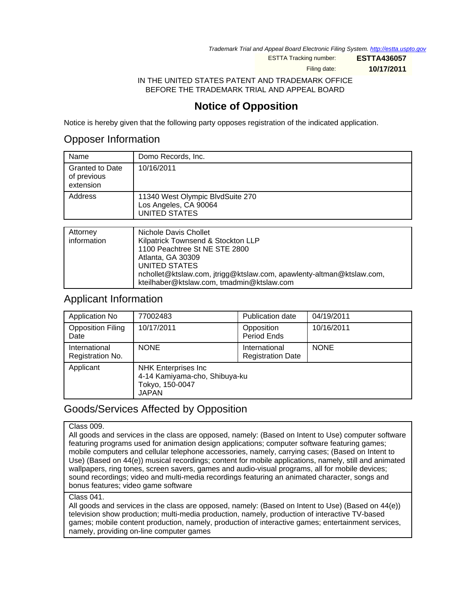Trademark Trial and Appeal Board Electronic Filing System. <http://estta.uspto.gov>

ESTTA Tracking number: **ESTTA436057**

Filing date: **10/17/2011**

IN THE UNITED STATES PATENT AND TRADEMARK OFFICE BEFORE THE TRADEMARK TRIAL AND APPEAL BOARD

## **Notice of Opposition**

Notice is hereby given that the following party opposes registration of the indicated application.

### Opposer Information

| Name                                               | Domo Records, Inc.                                                                |
|----------------------------------------------------|-----------------------------------------------------------------------------------|
| <b>Granted to Date</b><br>of previous<br>extension | 10/16/2011                                                                        |
| Address                                            | 11340 West Olympic BlvdSuite 270<br>Los Angeles, CA 90064<br><b>UNITED STATES</b> |
|                                                    |                                                                                   |
| Attorney<br>information                            | Nichole Davis Chollet<br>Kilpatrick Townsend & Stockton LLP                       |

| information | Kilpatrick Townsend & Stockton LLP                                   |
|-------------|----------------------------------------------------------------------|
|             | 1100 Peachtree St NE STE 2800                                        |
|             | Atlanta, GA 30309                                                    |
|             | UNITED STATES                                                        |
|             | nchollet@ktslaw.com, jtrigg@ktslaw.com, apawlenty-altman@ktslaw.com, |
|             | kteilhaber@ktslaw.com, tmadmin@ktslaw.com                            |

### Applicant Information

| Application No                    | 77002483                                                                                       | Publication date                          | 04/19/2011  |
|-----------------------------------|------------------------------------------------------------------------------------------------|-------------------------------------------|-------------|
| <b>Opposition Filing</b><br>Date  | 10/17/2011                                                                                     | Opposition<br>Period Ends                 | 10/16/2011  |
| International<br>Registration No. | <b>NONE</b>                                                                                    | International<br><b>Registration Date</b> | <b>NONE</b> |
| Applicant                         | <b>NHK Enterprises Inc</b><br>4-14 Kamiyama-cho, Shibuya-ku<br>Tokyo, 150-0047<br><b>JAPAN</b> |                                           |             |

## Goods/Services Affected by Opposition

### Class 009.

All goods and services in the class are opposed, namely: (Based on Intent to Use) computer software featuring programs used for animation design applications; computer software featuring games; mobile computers and cellular telephone accessories, namely, carrying cases; (Based on Intent to Use) (Based on 44(e)) musical recordings; content for mobile applications, namely, still and animated wallpapers, ring tones, screen savers, games and audio-visual programs, all for mobile devices; sound recordings; video and multi-media recordings featuring an animated character, songs and bonus features; video game software

#### Class 041.

All goods and services in the class are opposed, namely: (Based on Intent to Use) (Based on 44(e)) television show production; multi-media production, namely, production of interactive TV-based games; mobile content production, namely, production of interactive games; entertainment services, namely, providing on-line computer games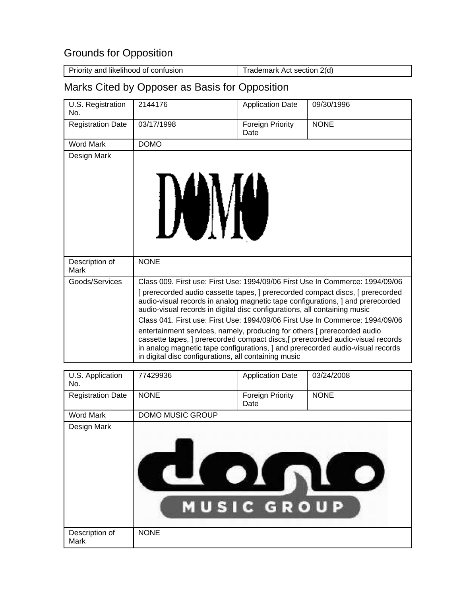# Grounds for Opposition

| Priority and likelihood of confusion | Trademark Act section 2(d) |
|--------------------------------------|----------------------------|

# Marks Cited by Opposer as Basis for Opposition

| U.S. Registration<br>No. | 2144176                                                                                                                                                                                                                                                                                              | <b>Application Date</b>  | 09/30/1996  |
|--------------------------|------------------------------------------------------------------------------------------------------------------------------------------------------------------------------------------------------------------------------------------------------------------------------------------------------|--------------------------|-------------|
| <b>Registration Date</b> | 03/17/1998                                                                                                                                                                                                                                                                                           | Foreign Priority<br>Date | <b>NONE</b> |
| <b>Word Mark</b>         | <b>DOMO</b>                                                                                                                                                                                                                                                                                          |                          |             |
| Design Mark              |                                                                                                                                                                                                                                                                                                      |                          |             |
| Description of<br>Mark   | <b>NONE</b>                                                                                                                                                                                                                                                                                          |                          |             |
| Goods/Services           | Class 009. First use: First Use: 1994/09/06 First Use In Commerce: 1994/09/06                                                                                                                                                                                                                        |                          |             |
|                          | [prerecorded audio cassette tapes, ] prerecorded compact discs, [prerecorded]<br>audio-visual records in analog magnetic tape configurations, and prerecorded<br>audio-visual records in digital disc configurations, all containing music                                                           |                          |             |
|                          | Class 041, First use: First Use: 1994/09/06 First Use In Commerce: 1994/09/06                                                                                                                                                                                                                        |                          |             |
|                          | entertainment services, namely, producing for others [ prerecorded audio<br>cassette tapes, ] prerecorded compact discs,[ prerecorded audio-visual records<br>in analog magnetic tape configurations, ] and prerecorded audio-visual records<br>in digital disc configurations, all containing music |                          |             |

| U.S. Application<br>No.  | 77429936         | <b>Application Date</b>                            | 03/24/2008  |
|--------------------------|------------------|----------------------------------------------------|-------------|
| <b>Registration Date</b> | <b>NONE</b>      | <b>Foreign Priority</b><br>Date                    | <b>NONE</b> |
| <b>Word Mark</b>         | DOMO MUSIC GROUP |                                                    |             |
| Design Mark              |                  | $\mathbf{O}$<br>U<br>$\blacksquare$<br>MUSIC GROUP |             |
| Description of<br>Mark   | <b>NONE</b>      |                                                    |             |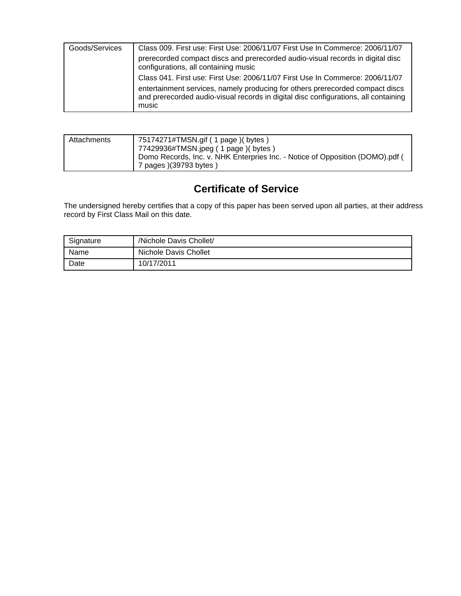| Goods/Services | Class 009. First use: First Use: 2006/11/07 First Use In Commerce: 2006/11/07                                                                                                 |
|----------------|-------------------------------------------------------------------------------------------------------------------------------------------------------------------------------|
|                | prerecorded compact discs and prerecorded audio-visual records in digital disc<br>configurations, all containing music                                                        |
|                | Class 041. First use: First Use: 2006/11/07 First Use In Commerce: 2006/11/07                                                                                                 |
|                | entertainment services, namely producing for others prerecorded compact discs<br>and prerecorded audio-visual records in digital disc configurations, all containing<br>music |

| Attachments | 75174271#TMSN.gif ( 1 page ) ( bytes )<br>77429936#TMSN.jpeg (1 page) (bytes)<br>Domo Records, Inc. v. NHK Enterpries Inc. - Notice of Opposition (DOMO).pdf ( |
|-------------|----------------------------------------------------------------------------------------------------------------------------------------------------------------|
|             | 7 pages )(39793 bytes )                                                                                                                                        |

# **Certificate of Service**

The undersigned hereby certifies that a copy of this paper has been served upon all parties, at their address record by First Class Mail on this date.

| Signature | /Nichole Davis Chollet/ |
|-----------|-------------------------|
| Name      | Nichole Davis Chollet   |
| Date      | 10/17/2011              |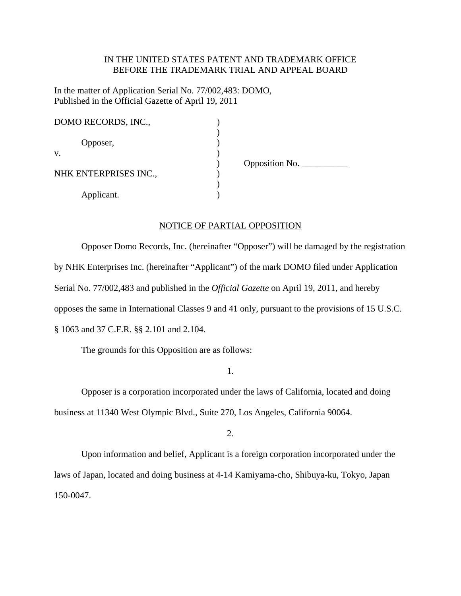### IN THE UNITED STATES PATENT AND TRADEMARK OFFICE BEFORE THE TRADEMARK TRIAL AND APPEAL BOARD

In the matter of Application Serial No. 77/002,483: DOMO, Published in the Official Gazette of April 19, 2011

| DOMO RECORDS, INC.,   |                                         |
|-----------------------|-----------------------------------------|
|                       |                                         |
| Opposer,              |                                         |
| V.                    |                                         |
|                       | Opposition No. $\overline{\phantom{a}}$ |
| NHK ENTERPRISES INC., |                                         |
|                       |                                         |
| Applicant.            |                                         |

#### NOTICE OF PARTIAL OPPOSITION

 Opposer Domo Records, Inc. (hereinafter "Opposer") will be damaged by the registration by NHK Enterprises Inc. (hereinafter "Applicant") of the mark DOMO filed under Application Serial No. 77/002,483 and published in the *Official Gazette* on April 19, 2011, and hereby opposes the same in International Classes 9 and 41 only, pursuant to the provisions of 15 U.S.C. § 1063 and 37 C.F.R. §§ 2.101 and 2.104.

The grounds for this Opposition are as follows:

1.

 Opposer is a corporation incorporated under the laws of California, located and doing business at 11340 West Olympic Blvd., Suite 270, Los Angeles, California 90064.

2.

 Upon information and belief, Applicant is a foreign corporation incorporated under the laws of Japan, located and doing business at 4-14 Kamiyama-cho, Shibuya-ku, Tokyo, Japan 150-0047.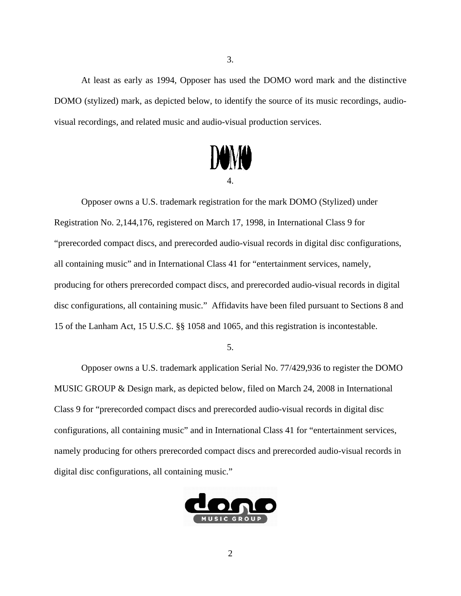At least as early as 1994, Opposer has used the DOMO word mark and the distinctive DOMO (stylized) mark, as depicted below, to identify the source of its music recordings, audiovisual recordings, and related music and audio-visual production services.



 Opposer owns a U.S. trademark registration for the mark DOMO (Stylized) under Registration No. 2,144,176, registered on March 17, 1998, in International Class 9 for "prerecorded compact discs, and prerecorded audio-visual records in digital disc configurations, all containing music" and in International Class 41 for "entertainment services, namely, producing for others prerecorded compact discs, and prerecorded audio-visual records in digital disc configurations, all containing music." Affidavits have been filed pursuant to Sections 8 and 15 of the Lanham Act, 15 U.S.C. §§ 1058 and 1065, and this registration is incontestable.

5.

 Opposer owns a U.S. trademark application Serial No. 77/429,936 to register the DOMO MUSIC GROUP & Design mark, as depicted below, filed on March 24, 2008 in International Class 9 for "prerecorded compact discs and prerecorded audio-visual records in digital disc configurations, all containing music" and in International Class 41 for "entertainment services, namely producing for others prerecorded compact discs and prerecorded audio-visual records in digital disc configurations, all containing music."

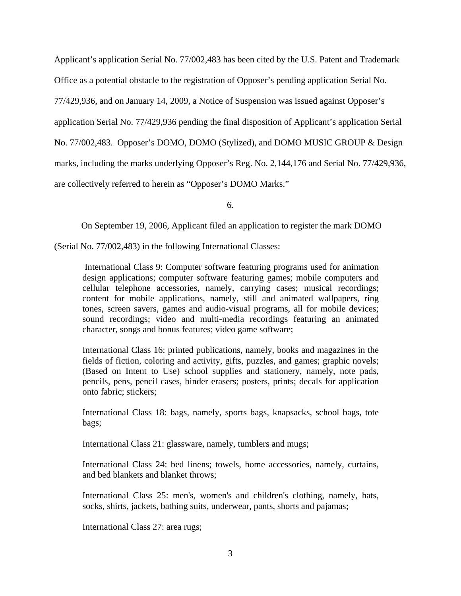Applicant's application Serial No. 77/002,483 has been cited by the U.S. Patent and Trademark Office as a potential obstacle to the registration of Opposer's pending application Serial No. 77/429,936, and on January 14, 2009, a Notice of Suspension was issued against Opposer's application Serial No. 77/429,936 pending the final disposition of Applicant's application Serial No. 77/002,483. Opposer's DOMO, DOMO (Stylized), and DOMO MUSIC GROUP & Design marks, including the marks underlying Opposer's Reg. No. 2,144,176 and Serial No. 77/429,936, are collectively referred to herein as "Opposer's DOMO Marks."

6.

On September 19, 2006, Applicant filed an application to register the mark DOMO

(Serial No. 77/002,483) in the following International Classes:

 International Class 9: Computer software featuring programs used for animation design applications; computer software featuring games; mobile computers and cellular telephone accessories, namely, carrying cases; musical recordings; content for mobile applications, namely, still and animated wallpapers, ring tones, screen savers, games and audio-visual programs, all for mobile devices; sound recordings; video and multi-media recordings featuring an animated character, songs and bonus features; video game software;

International Class 16: printed publications, namely, books and magazines in the fields of fiction, coloring and activity, gifts, puzzles, and games; graphic novels; (Based on Intent to Use) school supplies and stationery, namely, note pads, pencils, pens, pencil cases, binder erasers; posters, prints; decals for application onto fabric; stickers;

International Class 18: bags, namely, sports bags, knapsacks, school bags, tote bags;

International Class 21: glassware, namely, tumblers and mugs;

International Class 24: bed linens; towels, home accessories, namely, curtains, and bed blankets and blanket throws;

International Class 25: men's, women's and children's clothing, namely, hats, socks, shirts, jackets, bathing suits, underwear, pants, shorts and pajamas;

International Class 27: area rugs;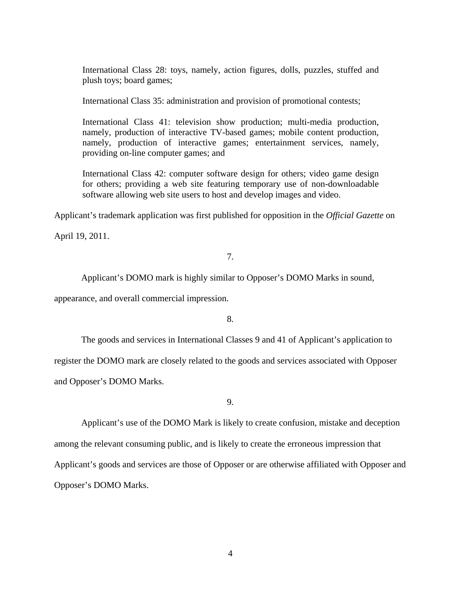International Class 28: toys, namely, action figures, dolls, puzzles, stuffed and plush toys; board games;

International Class 35: administration and provision of promotional contests;

International Class 41: television show production; multi-media production, namely, production of interactive TV-based games; mobile content production, namely, production of interactive games; entertainment services, namely, providing on-line computer games; and

International Class 42: computer software design for others; video game design for others; providing a web site featuring temporary use of non-downloadable software allowing web site users to host and develop images and video.

Applicant's trademark application was first published for opposition in the *Official Gazette* on

April 19, 2011.

### 7.

Applicant's DOMO mark is highly similar to Opposer's DOMO Marks in sound,

appearance, and overall commercial impression.

8.

 The goods and services in International Classes 9 and 41 of Applicant's application to register the DOMO mark are closely related to the goods and services associated with Opposer and Opposer's DOMO Marks.

9.

 Applicant's use of the DOMO Mark is likely to create confusion, mistake and deception among the relevant consuming public, and is likely to create the erroneous impression that Applicant's goods and services are those of Opposer or are otherwise affiliated with Opposer and Opposer's DOMO Marks.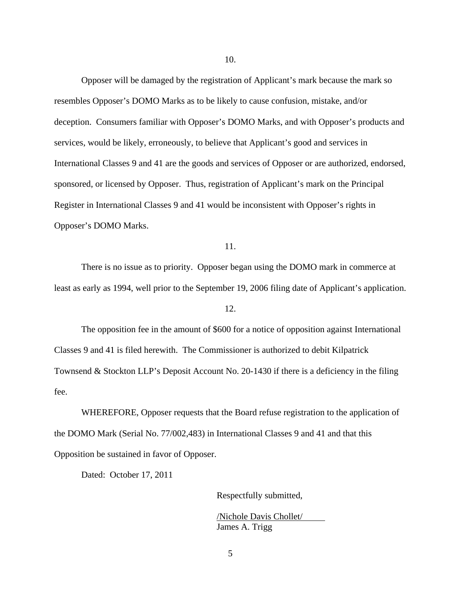Opposer will be damaged by the registration of Applicant's mark because the mark so resembles Opposer's DOMO Marks as to be likely to cause confusion, mistake, and/or deception. Consumers familiar with Opposer's DOMO Marks, and with Opposer's products and services, would be likely, erroneously, to believe that Applicant's good and services in International Classes 9 and 41 are the goods and services of Opposer or are authorized, endorsed, sponsored, or licensed by Opposer. Thus, registration of Applicant's mark on the Principal Register in International Classes 9 and 41 would be inconsistent with Opposer's rights in Opposer's DOMO Marks.

#### 11.

 There is no issue as to priority. Opposer began using the DOMO mark in commerce at least as early as 1994, well prior to the September 19, 2006 filing date of Applicant's application.

12.

 The opposition fee in the amount of \$600 for a notice of opposition against International Classes 9 and 41 is filed herewith. The Commissioner is authorized to debit Kilpatrick Townsend & Stockton LLP's Deposit Account No. 20-1430 if there is a deficiency in the filing fee.

 WHEREFORE, Opposer requests that the Board refuse registration to the application of the DOMO Mark (Serial No. 77/002,483) in International Classes 9 and 41 and that this Opposition be sustained in favor of Opposer.

Dated: October 17, 2011

Respectfully submitted,

/Nichole Davis Chollet/ James A. Trigg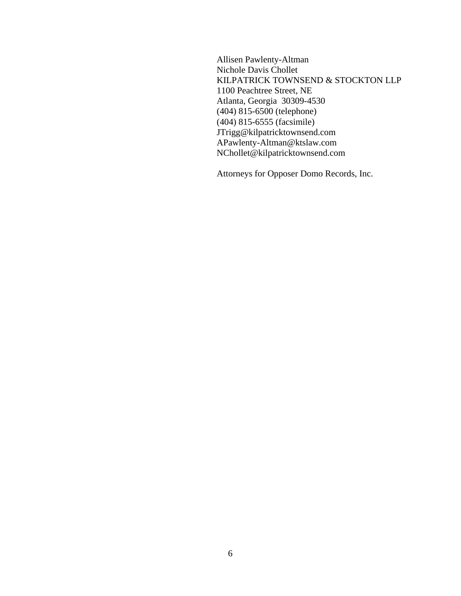Allisen Pawlenty-Altman Nichole Davis Chollet KILPATRICK TOWNSEND & STOCKTON LLP 1100 Peachtree Street, NE Atlanta, Georgia 30309-4530 (404) 815-6500 (telephone) (404) 815-6555 (facsimile) JTrigg@kilpatricktownsend.com APawlenty-Altman@ktslaw.com NChollet@kilpatricktownsend.com

Attorneys for Opposer Domo Records, Inc.